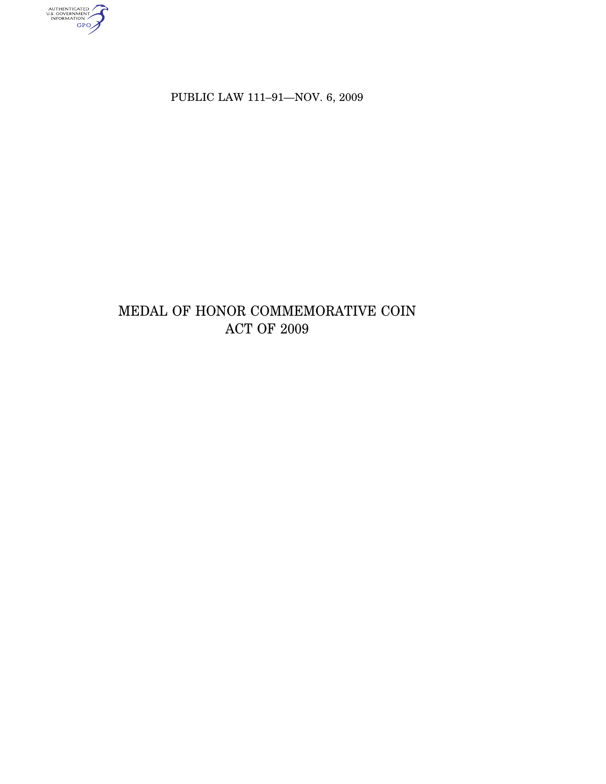authenticated<br>u.s. government<br>information<br>GPO

PUBLIC LAW 111-91-NOV. 6, 2009

# MEDAL OF HONOR COMMEMORATIVE COIN ACT OF  $2009$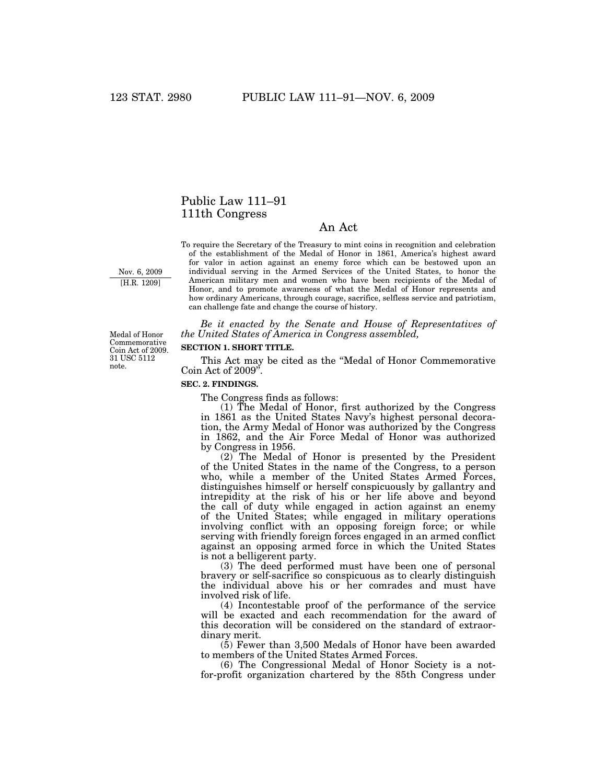# Public Law 111–91 111th Congress

## An Act

Nov. 6, 2009 [H.R. 1209]

To require the Secretary of the Treasury to mint coins in recognition and celebration of the establishment of the Medal of Honor in 1861, America's highest award for valor in action against an enemy force which can be bestowed upon an individual serving in the Armed Services of the United States, to honor the American military men and women who have been recipients of the Medal of Honor, and to promote awareness of what the Medal of Honor represents and how ordinary Americans, through courage, sacrifice, selfless service and patriotism, can challenge fate and change the course of history.

*Be it enacted by the Senate and House of Representatives of the United States of America in Congress assembled,* 

#### **SECTION 1. SHORT TITLE.**

This Act may be cited as the ''Medal of Honor Commemorative Coin Act of 2009''.

#### **SEC. 2. FINDINGS.**

The Congress finds as follows:

(1) The Medal of Honor, first authorized by the Congress in 1861 as the United States Navy's highest personal decoration, the Army Medal of Honor was authorized by the Congress in 1862, and the Air Force Medal of Honor was authorized by Congress in 1956.

(2) The Medal of Honor is presented by the President of the United States in the name of the Congress, to a person who, while a member of the United States Armed Forces, distinguishes himself or herself conspicuously by gallantry and intrepidity at the risk of his or her life above and beyond the call of duty while engaged in action against an enemy of the United States; while engaged in military operations involving conflict with an opposing foreign force; or while serving with friendly foreign forces engaged in an armed conflict against an opposing armed force in which the United States is not a belligerent party.

(3) The deed performed must have been one of personal bravery or self-sacrifice so conspicuous as to clearly distinguish the individual above his or her comrades and must have involved risk of life.

(4) Incontestable proof of the performance of the service will be exacted and each recommendation for the award of this decoration will be considered on the standard of extraordinary merit.

(5) Fewer than 3,500 Medals of Honor have been awarded to members of the United States Armed Forces.

(6) The Congressional Medal of Honor Society is a notfor-profit organization chartered by the 85th Congress under

Medal of Honor Commemorative Coin Act of 2009. 31 USC 5112 note.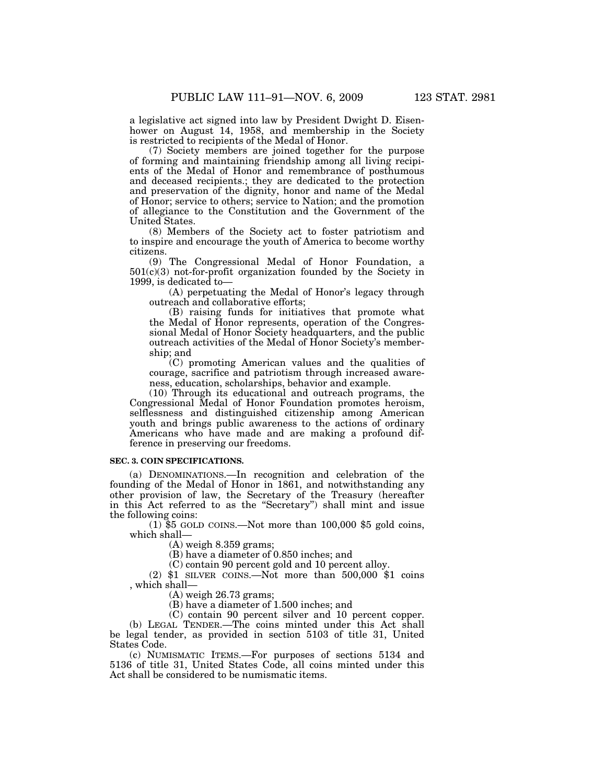a legislative act signed into law by President Dwight D. Eisenhower on August 14, 1958, and membership in the Society is restricted to recipients of the Medal of Honor.

(7) Society members are joined together for the purpose of forming and maintaining friendship among all living recipients of the Medal of Honor and remembrance of posthumous and deceased recipients.; they are dedicated to the protection and preservation of the dignity, honor and name of the Medal of Honor; service to others; service to Nation; and the promotion of allegiance to the Constitution and the Government of the United States.

(8) Members of the Society act to foster patriotism and to inspire and encourage the youth of America to become worthy citizens.

(9) The Congressional Medal of Honor Foundation, a 501(c)(3) not-for-profit organization founded by the Society in 1999, is dedicated to—

(A) perpetuating the Medal of Honor's legacy through outreach and collaborative efforts;

(B) raising funds for initiatives that promote what the Medal of Honor represents, operation of the Congressional Medal of Honor Society headquarters, and the public outreach activities of the Medal of Honor Society's membership; and

(C) promoting American values and the qualities of courage, sacrifice and patriotism through increased awareness, education, scholarships, behavior and example.

(10) Through its educational and outreach programs, the Congressional Medal of Honor Foundation promotes heroism, selflessness and distinguished citizenship among American youth and brings public awareness to the actions of ordinary Americans who have made and are making a profound difference in preserving our freedoms.

#### **SEC. 3. COIN SPECIFICATIONS.**

(a) DENOMINATIONS.—In recognition and celebration of the founding of the Medal of Honor in 1861, and notwithstanding any other provision of law, the Secretary of the Treasury (hereafter in this Act referred to as the ''Secretary'') shall mint and issue the following coins:

 $(1)$  \$5 GOLD COINS.—Not more than 100,000 \$5 gold coins, which shall—

(A) weigh 8.359 grams;

(B) have a diameter of 0.850 inches; and

(C) contain 90 percent gold and 10 percent alloy.

(2) \$1 SILVER COINS.—Not more than 500,000 \$1 coins , which shall—

(A) weigh 26.73 grams;

(B) have a diameter of 1.500 inches; and

(C) contain 90 percent silver and 10 percent copper. (b) LEGAL TENDER.—The coins minted under this Act shall be legal tender, as provided in section 5103 of title 31, United

States Code. (c) NUMISMATIC ITEMS.—For purposes of sections 5134 and 5136 of title 31, United States Code, all coins minted under this Act shall be considered to be numismatic items.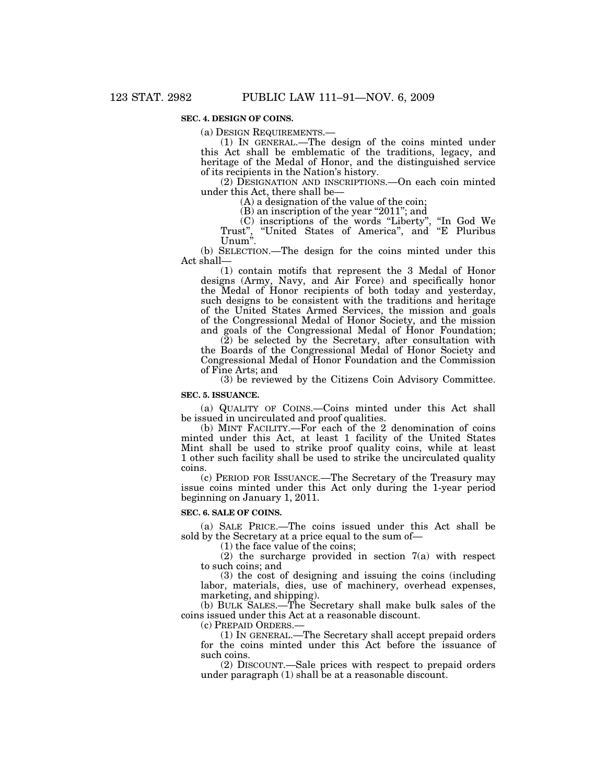### **SEC. 4. DESIGN OF COINS.**

(a) DESIGN REQUIREMENTS.—

(1) IN GENERAL.—The design of the coins minted under this Act shall be emblematic of the traditions, legacy, and heritage of the Medal of Honor, and the distinguished service of its recipients in the Nation's history.

(2) DESIGNATION AND INSCRIPTIONS.—On each coin minted under this Act, there shall be—

(A) a designation of the value of the coin;

(B) an inscription of the year ''2011''; and

(C) inscriptions of the words ''Liberty'', ''In God We Trust", "United States of America", and "E Pluribus Unum''.

(b) SELECTION.—The design for the coins minted under this Act shall—

(1) contain motifs that represent the 3 Medal of Honor designs (Army, Navy, and Air Force) and specifically honor the Medal of Honor recipients of both today and yesterday, such designs to be consistent with the traditions and heritage of the United States Armed Services, the mission and goals of the Congressional Medal of Honor Society, and the mission and goals of the Congressional Medal of Honor Foundation;

(2) be selected by the Secretary, after consultation with the Boards of the Congressional Medal of Honor Society and Congressional Medal of Honor Foundation and the Commission of Fine Arts; and

(3) be reviewed by the Citizens Coin Advisory Committee.

#### **SEC. 5. ISSUANCE.**

(a) QUALITY OF COINS.—Coins minted under this Act shall be issued in uncirculated and proof qualities.

(b) MINT FACILITY.—For each of the 2 denomination of coins minted under this Act, at least 1 facility of the United States Mint shall be used to strike proof quality coins, while at least 1 other such facility shall be used to strike the uncirculated quality coins.

(c) PERIOD FOR ISSUANCE.—The Secretary of the Treasury may issue coins minted under this Act only during the 1-year period beginning on January 1, 2011.

#### **SEC. 6. SALE OF COINS.**

(a) SALE PRICE.—The coins issued under this Act shall be sold by the Secretary at a price equal to the sum of—

(1) the face value of the coins;

(2) the surcharge provided in section 7(a) with respect to such coins; and

(3) the cost of designing and issuing the coins (including labor, materials, dies, use of machinery, overhead expenses, marketing, and shipping).

(b) BULK SALES.—The Secretary shall make bulk sales of the coins issued under this Act at a reasonable discount.

(c) PREPAID ORDERS.—

(1) IN GENERAL.—The Secretary shall accept prepaid orders for the coins minted under this Act before the issuance of such coins.

(2) DISCOUNT.—Sale prices with respect to prepaid orders under paragraph (1) shall be at a reasonable discount.